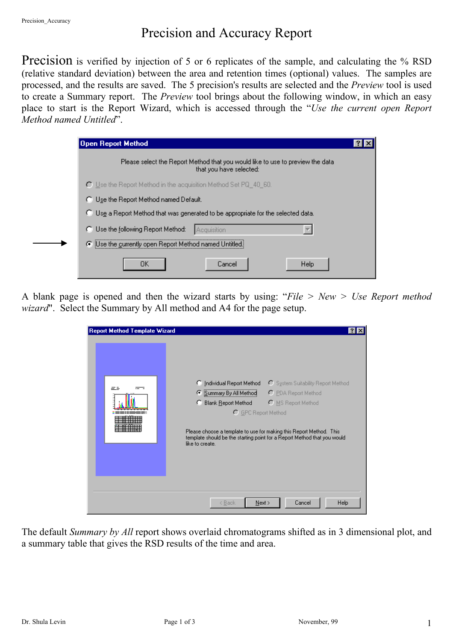## Precision and Accuracy Report

Precision is verified by injection of 5 or 6 replicates of the sample, and calculating the % RSD (relative standard deviation) between the area and retention times (optional) values. The samples are processed, and the results are saved. The 5 precision's results are selected and the *Preview* tool is used to create a Summary report. The *Preview* tool brings about the following window, in which an easy place to start is the Report Wizard, which is accessed through the "*Use the current open Report Method named Untitled*".

| Open Report Method                                                                                        |  |
|-----------------------------------------------------------------------------------------------------------|--|
| Please select the Report Method that you would like to use to preview the data<br>that you have selected: |  |
| C Use the Report Method in the acquisition Method Set PQ_40_60.                                           |  |
| C Use the Report Method named Default.                                                                    |  |
| C Use a Report Method that was generated to be appropriate for the selected data.                         |  |
| C Use the following Report Method:<br>Acquisition                                                         |  |
| ○ Use the currently open Report Method named Untitled.                                                    |  |
| Help<br>OΚ<br>Cancel                                                                                      |  |

A blank page is opened and then the wizard starts by using: "*File > New > Use Report method wizard*". Select the Summary by All method and A4 for the page setup.

| <b>Report Method Template Wizard</b> |                                                                                                                                                                                                                                                                                                                                                                     |
|--------------------------------------|---------------------------------------------------------------------------------------------------------------------------------------------------------------------------------------------------------------------------------------------------------------------------------------------------------------------------------------------------------------------|
|                                      | C System Suitability Report Method<br>C Individual Report Method<br>C Summary By All Method<br>C PDA Report Method<br>C MS Report Method<br><b>Blank Report Method</b><br>C GPC Report Method<br>Please choose a template to use for making this Report Method. This<br>template should be the starting point for a Report Method that you would<br>like to create. |
|                                      | Cancel<br>Help<br>Next<br>< <u>B</u> ack                                                                                                                                                                                                                                                                                                                            |

The default *Summary by All* report shows overlaid chromatograms shifted as in 3 dimensional plot, and a summary table that gives the RSD results of the time and area.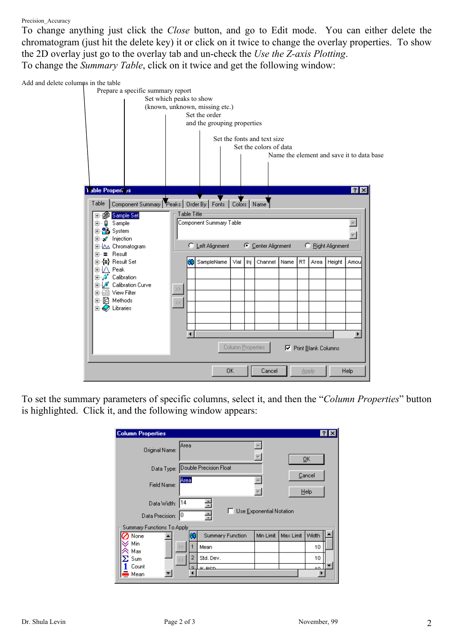## Precision Accuracy

To change anything just click the *Close* button, and go to Edit mode. You can either delete the chromatogram (just hit the delete key) it or click on it twice to change the overlay properties. To show the 2D overlay just go to the overlay tab and un-check the *Use the Z-axis Plotting*. To change the *Summary Table*, click on it twice and get the following window:

Add and delete columns in the table Prepare a specific summary report Set which peaks to show (known, unknown, missing etc.) Set the order and the grouping properties Set the fonts and text size Set the colors of data Name the element and save it to data base **Table Properties**  $7x$ Table | Component Summary | Peaks | Order By | Fonts | Colors | Name **H- 的 Sample Set** Table Title Component Summary Table  $\blacktriangle$ di Sample 中<u>名</u> System ᅱ ∣ ⊞… x injection C Left Alignment C Center Alignment C Right Alignment 中心 Chromatogram 由…■ Result SampleName Vial Inj Channel Name RT Area Height Amou | मे⊹ ∧े Peak<br>| मे—ु∜े Calibration 中 & Calibration Curve  $\rightarrow$ **E** Filter 中国 Methods  $\prec$  $\overline{\boxplus}$   $\overline{\bigotimes}$  Libraries  $\overline{\phantom{a}}$  $\blacktriangleleft$ Column Properties **▽** Print Blank Columns 0K Cancel Apply Help

To set the summary parameters of specific columns, select it, and then the "*Column Properties*" button is highlighted. Click it, and the following window appears:

| <b>Column Properties</b>             |                                                   | 31     |
|--------------------------------------|---------------------------------------------------|--------|
| Original Name:                       | Area                                              | ŪΚ     |
|                                      | Data Type: Double Precision Float                 | Cancel |
| Field Name:                          | Area                                              | Help   |
| Data Width:<br>10<br>Data Precision: | 14<br>Use Exponential Notation<br>÷               |        |
| Summary Functions To Apply<br>None   | Max Limit<br>Min Limit<br><b>Summary Function</b> | Width  |
| Min<br>Max                           | Mean                                              | 10     |
| $\Sigma$ Sum<br><<                   | 2<br>Std. Dev.                                    | 10     |
| Count<br>∎ Mean                      | ۰<br>$\alpha$ pcn                                 | 40     |